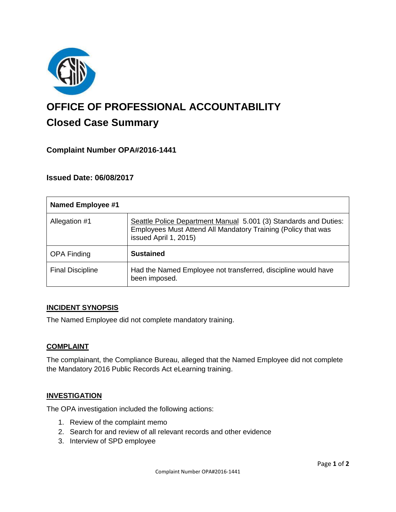

# **OFFICE OF PROFESSIONAL ACCOUNTABILITY Closed Case Summary**

# **Complaint Number OPA#2016-1441**

## **Issued Date: 06/08/2017**

| <b>Named Employee #1</b> |                                                                                                                                                            |
|--------------------------|------------------------------------------------------------------------------------------------------------------------------------------------------------|
| Allegation #1            | Seattle Police Department Manual 5.001 (3) Standards and Duties:<br>Employees Must Attend All Mandatory Training (Policy that was<br>issued April 1, 2015) |
| <b>OPA Finding</b>       | <b>Sustained</b>                                                                                                                                           |
| <b>Final Discipline</b>  | Had the Named Employee not transferred, discipline would have<br>been imposed.                                                                             |

#### **INCIDENT SYNOPSIS**

The Named Employee did not complete mandatory training.

#### **COMPLAINT**

The complainant, the Compliance Bureau, alleged that the Named Employee did not complete the Mandatory 2016 Public Records Act eLearning training.

#### **INVESTIGATION**

The OPA investigation included the following actions:

- 1. Review of the complaint memo
- 2. Search for and review of all relevant records and other evidence
- 3. Interview of SPD employee